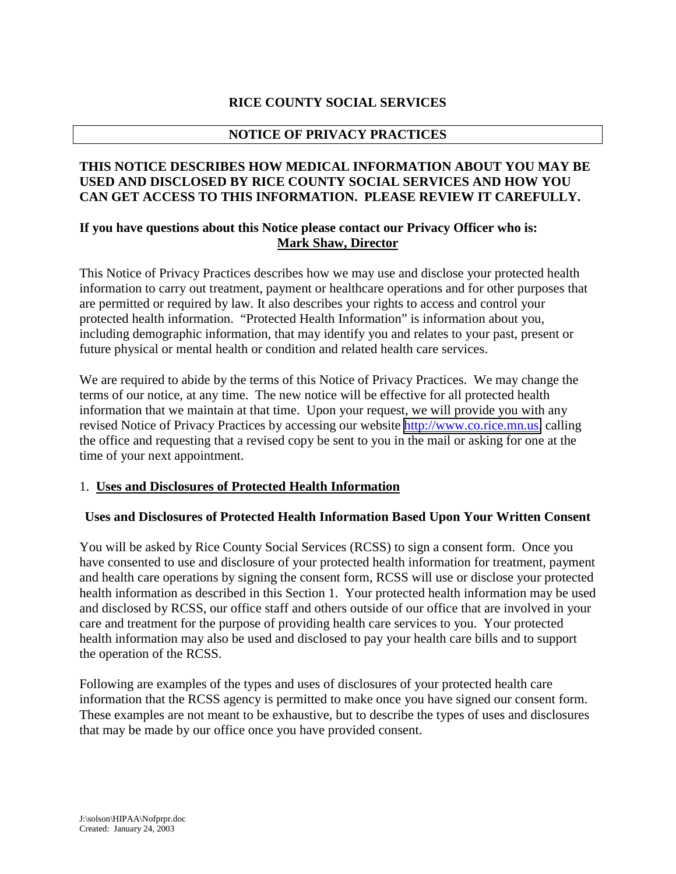### **RICE COUNTY SOCIAL SERVICES**

### **NOTICE OF PRIVACY PRACTICES**

### **THIS NOTICE DESCRIBES HOW MEDICAL INFORMATION ABOUT YOU MAY BE USED AND DISCLOSED BY RICE COUNTY SOCIAL SERVICES AND HOW YOU CAN GET ACCESS TO THIS INFORMATION. PLEASE REVIEW IT CAREFULLY.**

### **If you have questions about this Notice please contact our Privacy Officer who is: Mark Shaw, Director**

This Notice of Privacy Practices describes how we may use and disclose your protected health information to carry out treatment, payment or healthcare operations and for other purposes that are permitted or required by law. It also describes your rights to access and control your protected health information. "Protected Health Information" is information about you, including demographic information, that may identify you and relates to your past, present or future physical or mental health or condition and related health care services.

We are required to abide by the terms of this Notice of Privacy Practices. We may change the terms of our notice, at any time. The new notice will be effective for all protected health information that we maintain at that time. Upon your request, we will provide you with any revised Notice of Privacy Practices by accessing our website [http://www.co.rice.mn.us,](http://www.co.rice.mn.us/) calling the office and requesting that a revised copy be sent to you in the mail or asking for one at the time of your next appointment.

#### 1. **Uses and Disclosures of Protected Health Information**

#### **Uses and Disclosures of Protected Health Information Based Upon Your Written Consent**

You will be asked by Rice County Social Services (RCSS) to sign a consent form. Once you have consented to use and disclosure of your protected health information for treatment, payment and health care operations by signing the consent form, RCSS will use or disclose your protected health information as described in this Section 1. Your protected health information may be used and disclosed by RCSS, our office staff and others outside of our office that are involved in your care and treatment for the purpose of providing health care services to you. Your protected health information may also be used and disclosed to pay your health care bills and to support the operation of the RCSS.

Following are examples of the types and uses of disclosures of your protected health care information that the RCSS agency is permitted to make once you have signed our consent form. These examples are not meant to be exhaustive, but to describe the types of uses and disclosures that may be made by our office once you have provided consent.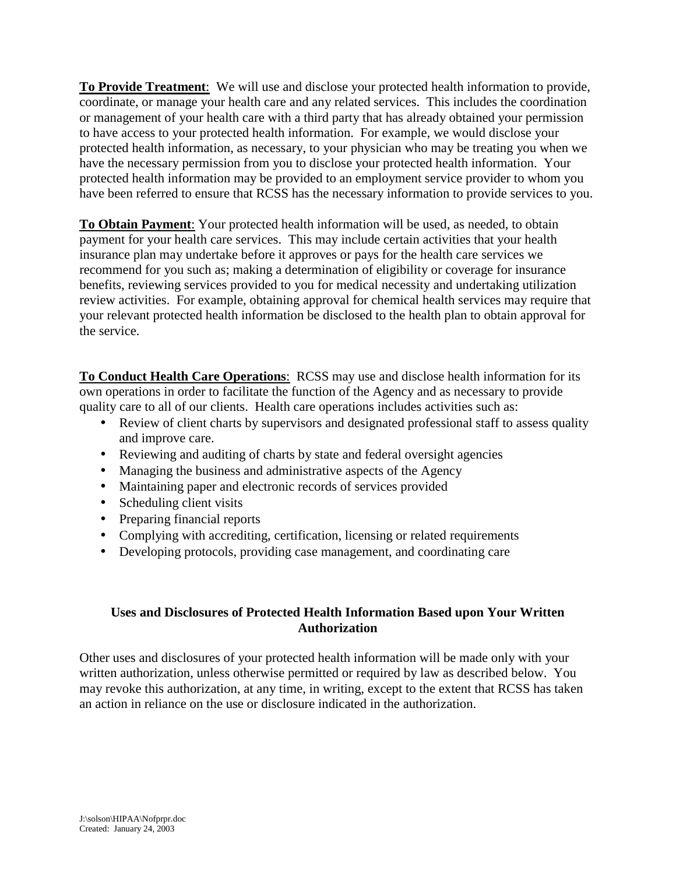**To Provide Treatment**: We will use and disclose your protected health information to provide, coordinate, or manage your health care and any related services. This includes the coordination or management of your health care with a third party that has already obtained your permission to have access to your protected health information. For example, we would disclose your protected health information, as necessary, to your physician who may be treating you when we have the necessary permission from you to disclose your protected health information. Your protected health information may be provided to an employment service provider to whom you have been referred to ensure that RCSS has the necessary information to provide services to you.

**To Obtain Payment**: Your protected health information will be used, as needed, to obtain payment for your health care services. This may include certain activities that your health insurance plan may undertake before it approves or pays for the health care services we recommend for you such as; making a determination of eligibility or coverage for insurance benefits, reviewing services provided to you for medical necessity and undertaking utilization review activities. For example, obtaining approval for chemical health services may require that your relevant protected health information be disclosed to the health plan to obtain approval for the service.

**To Conduct Health Care Operations**: RCSS may use and disclose health information for its own operations in order to facilitate the function of the Agency and as necessary to provide quality care to all of our clients. Health care operations includes activities such as:

- Review of client charts by supervisors and designated professional staff to assess quality and improve care.
- Reviewing and auditing of charts by state and federal oversight agencies
- Managing the business and administrative aspects of the Agency
- Maintaining paper and electronic records of services provided
- Scheduling client visits
- Preparing financial reports
- Complying with accrediting, certification, licensing or related requirements
- Developing protocols, providing case management, and coordinating care

### **Uses and Disclosures of Protected Health Information Based upon Your Written Authorization**

Other uses and disclosures of your protected health information will be made only with your written authorization, unless otherwise permitted or required by law as described below. You may revoke this authorization, at any time, in writing, except to the extent that RCSS has taken an action in reliance on the use or disclosure indicated in the authorization.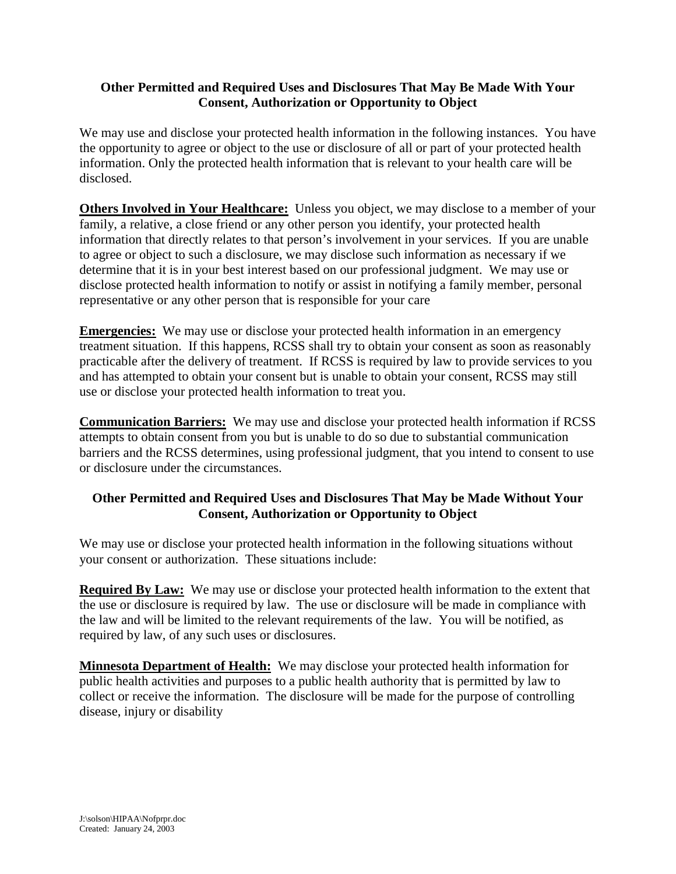#### **Other Permitted and Required Uses and Disclosures That May Be Made With Your Consent, Authorization or Opportunity to Object**

We may use and disclose your protected health information in the following instances. You have the opportunity to agree or object to the use or disclosure of all or part of your protected health information. Only the protected health information that is relevant to your health care will be disclosed.

**Others Involved in Your Healthcare:** Unless you object, we may disclose to a member of your family, a relative, a close friend or any other person you identify, your protected health information that directly relates to that person's involvement in your services. If you are unable to agree or object to such a disclosure, we may disclose such information as necessary if we determine that it is in your best interest based on our professional judgment. We may use or disclose protected health information to notify or assist in notifying a family member, personal representative or any other person that is responsible for your care

**Emergencies:** We may use or disclose your protected health information in an emergency treatment situation. If this happens, RCSS shall try to obtain your consent as soon as reasonably practicable after the delivery of treatment. If RCSS is required by law to provide services to you and has attempted to obtain your consent but is unable to obtain your consent, RCSS may still use or disclose your protected health information to treat you.

**Communication Barriers:** We may use and disclose your protected health information if RCSS attempts to obtain consent from you but is unable to do so due to substantial communication barriers and the RCSS determines, using professional judgment, that you intend to consent to use or disclosure under the circumstances.

## **Other Permitted and Required Uses and Disclosures That May be Made Without Your Consent, Authorization or Opportunity to Object**

We may use or disclose your protected health information in the following situations without your consent or authorization. These situations include:

**Required By Law:** We may use or disclose your protected health information to the extent that the use or disclosure is required by law. The use or disclosure will be made in compliance with the law and will be limited to the relevant requirements of the law. You will be notified, as required by law, of any such uses or disclosures.

**Minnesota Department of Health:** We may disclose your protected health information for public health activities and purposes to a public health authority that is permitted by law to collect or receive the information. The disclosure will be made for the purpose of controlling disease, injury or disability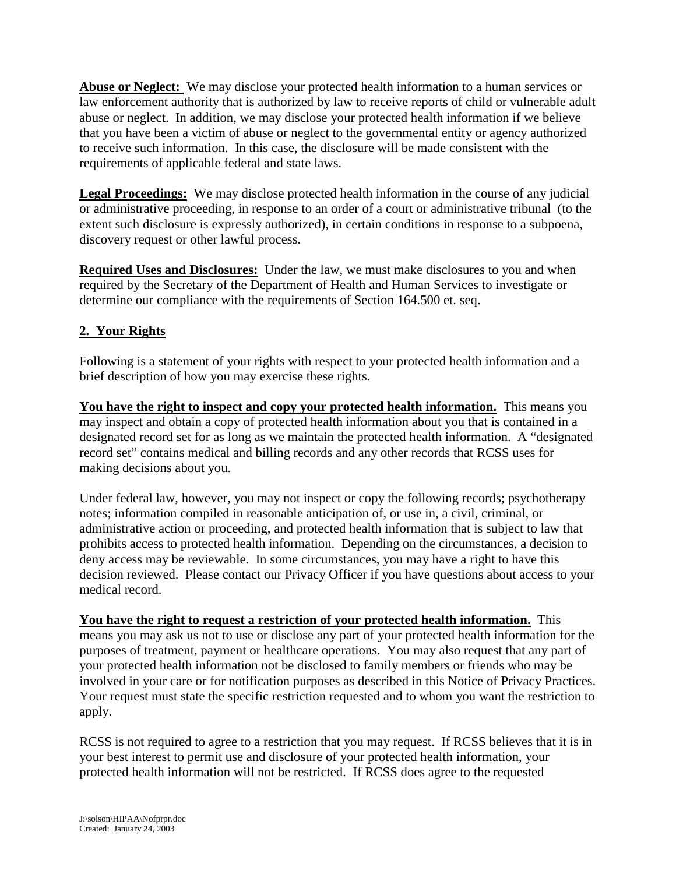**Abuse or Neglect:** We may disclose your protected health information to a human services or law enforcement authority that is authorized by law to receive reports of child or vulnerable adult abuse or neglect. In addition, we may disclose your protected health information if we believe that you have been a victim of abuse or neglect to the governmental entity or agency authorized to receive such information. In this case, the disclosure will be made consistent with the requirements of applicable federal and state laws.

**Legal Proceedings:** We may disclose protected health information in the course of any judicial or administrative proceeding, in response to an order of a court or administrative tribunal (to the extent such disclosure is expressly authorized), in certain conditions in response to a subpoena, discovery request or other lawful process.

**Required Uses and Disclosures:** Under the law, we must make disclosures to you and when required by the Secretary of the Department of Health and Human Services to investigate or determine our compliance with the requirements of Section 164.500 et. seq.

# **2. Your Rights**

Following is a statement of your rights with respect to your protected health information and a brief description of how you may exercise these rights.

**You have the right to inspect and copy your protected health information.** This means you may inspect and obtain a copy of protected health information about you that is contained in a designated record set for as long as we maintain the protected health information. A "designated record set" contains medical and billing records and any other records that RCSS uses for making decisions about you.

Under federal law, however, you may not inspect or copy the following records; psychotherapy notes; information compiled in reasonable anticipation of, or use in, a civil, criminal, or administrative action or proceeding, and protected health information that is subject to law that prohibits access to protected health information. Depending on the circumstances, a decision to deny access may be reviewable. In some circumstances, you may have a right to have this decision reviewed. Please contact our Privacy Officer if you have questions about access to your medical record.

**You have the right to request a restriction of your protected health information.** This means you may ask us not to use or disclose any part of your protected health information for the purposes of treatment, payment or healthcare operations. You may also request that any part of your protected health information not be disclosed to family members or friends who may be involved in your care or for notification purposes as described in this Notice of Privacy Practices. Your request must state the specific restriction requested and to whom you want the restriction to apply.

RCSS is not required to agree to a restriction that you may request. If RCSS believes that it is in your best interest to permit use and disclosure of your protected health information, your protected health information will not be restricted. If RCSS does agree to the requested